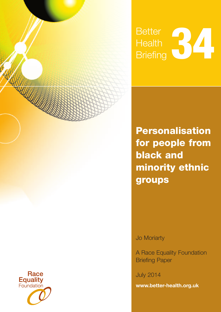

Jo Moriarty

A Race Equality Foundation Briefing Paper

July 2014

**[www.better-health.org.uk](http://www.better-housing.org.uk)**



**CONTROLLER**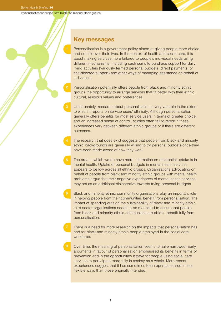**3**

# **Key messages**

Personalisation is a government policy aimed at giving people more choice and control over their lives. In the context of health and social care, it is about making services more tailored to people's individual needs using different mechanisms, including cash sums to purchase support for daily living activities (variously termed personal budgets, direct payments, or self-directed support) and other ways of managing assistance on behalf of individuals.

- Personalisation potentially offers people from black and minority ethnic groups the opportunity to arrange services that fit better with their ethnic, cultural, religious values and preferences.
- Unfortunately, research about personalisation is very variable in the extent to which it reports on service users' ethnicity. Although personalisation generally offers benefits for most service users in terms of greater choice and an increased sense of control, studies often fail to report if these experiences vary between different ethnic groups or if there are different outcomes.
- The research that does exist suggests that people from black and minority ethnic backgrounds are generally willing to try personal budgets once they have been made aware of how they work.
- The area in which we do have more information on differential uptake is in mental health. Uptake of personal budgets in mental health services appears to be low across all ethnic groups. Organisations advocating on behalf of people from black and minority ethnic groups with mental health problems argue that their negative experiences of mental health services may act as an additional disincentive towards trying personal budgets.
- Black and minority ethnic community organisations play an important role in helping people from their communities benefit from personalisation. The impact of spending cuts on the sustainability of black and minority ethnic third sector organisations needs to be monitored to ensure that people from black and minority ethnic communities are able to benefit fully from personalisation.
- There is a need for more research on the impacts that personalisation has had for black and minority ethnic people employed in the social care workforce.
- Over time, the meaning of personalisation seems to have narrowed. Early arguments in favour of personalisation emphasised its benefits in terms of prevention and in the opportunities it gave for people using social care services to participate more fully in society as a whole. More recent experiences suggest that it has sometimes been operationalised in less flexible ways than those originally intended.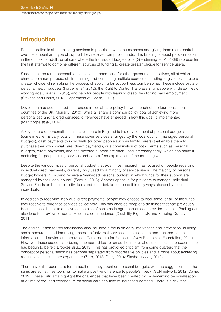# **Introduction**

Personalisation is about tailoring services to people's own circumstances and giving them more control over the amount and type of support they receive from public funds. This briefing is about personalisation in the context of adult social care where the Individual Budgets pilot (Glendinning et al., 2008) represented the first attempt to combine different sources of funding to create greater choice for service users.

Since then, the term 'personalisation' has also been used for other government initiatives, all of which share a common purpose of streamlining and combining multiple sources of funding to give service users greater choice while making the process of applying for support less cumbersome. These include pilots of personal health budgets (Forder et al., 2012), the Right to Control Trailblazers for people with disabilities of working age (Tu et al., 2013), and help for people with learning disabilities to find paid employment (Stevens and Harris, 2013, Department of Health, 2011).

Devolution has accentuated differences in social care policy between each of the four constituent countries of the UK (Moriarty, 2010). While all share a common policy goal of achieving more personalised and tailored services, differences have emerged in how this goal is implemented (Manthorpe et al., 2014).

A key feature of personalisation in social care in England is the development of personal budgets (sometimes terms vary locally). These cover services arranged by the local council (managed personal budgets), cash payments to individuals (or other people such as family carers) that enable them to purchase their own social care (direct payments), or a combination of both. Terms such as personal budgets, direct payments, and self-directed support are often used interchangeably, which can make it confusing for people using services and carers if no explanation of the term is given.

Despite the various types of personal budget that exist, most research has focused on people receiving individual direct payments, currently only used by a minority of service users. The majority of personal budget holders in England receive a 'managed personal budget' in which funds for their support are managed by their local council (Samuel, 2013). Another option is for providers to manage Individual Service Funds on behalf of individuals and to undertake to spend it in only ways chosen by those individuals.

In addition to receiving individual direct payments, people may choose to pool some, or all, of the funds they receive to purchase services collectively. This has enabled people to do things that had previously been inaccessible or to achieve economies of scale as integral part of local provider markets. Pooling can also lead to a review of how services are commissioned (Disability Rights UK and Shaping Our Lives, 2011).

The original vision for personalisation also included a focus on early intervention and prevention, building social resources, and improving access to 'universal services' such as leisure and transport, access to information and advice on care (Social Care Institute for Excellence/New Economics Foundation, 2011). However, these aspects are being emphasised less often as the impact of cuts to social care expenditure has begun to be felt (Brookes *et al.*, 2013). This has provoked criticism from some quarters that the concept of personalisation has become separated from progressive policies and is more about achieving reductions in social care expenditure (Zarb, 2013; Duffy, 2014; Slasberg et al., 2012).

There have also been calls for an audit of money spent on personal budgets, with the suggestion that the sums are sometimes too small to make a positive difference to people's lives (NSUN network, 2012; Davie, 2012). These criticisms highlight the challenges that have been created by implementing personalisation at a time of reduced expenditure on social care at a time of increased demand. There is a risk that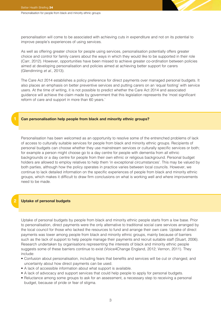personalisation will come to be associated with achieving cuts in expenditure and not on its potential to improve people's experiences of using services.

As well as offering greater choice for people using services, personalisation potentially offers greater choice and control for family carers about the ways in which they would like to be supported in their role (Carr, 2012). However, opportunities have been missed to achieve greater co-ordination between policies aimed at developing personalisation and policies aimed at achieving better support for carers (Glendinning et al., 2013).

The Care Act 2014 establishes a policy preference for direct payments over managed personal budgets. It also places an emphasis on better preventive services and putting carers on an 'equal footing' with service users. At the time of writing, it is not possible to predict whether the Care Act 2014 and associated guidance will achieve the claim made by government that this legislation represents the 'most significant reform of care and support in more than 60 years.'

#### **Can personalisation help people from black and minority ethnic groups?**

Personalisation has been welcomed as an opportunity to resolve some of the entrenched problems of lack of access to culturally suitable services for people from black and minority ethnic groups. Recipients of personal budgets can choose whether they use mainstream services or culturally specific services or both; for example a person might choose go to a day centre for people with dementia from all ethnic backgrounds or a day centre for people from their own ethnic or religious background. Personal budget holders are allowed to employ relatives to help them 'in exceptional circumstances'. This may be valued by both parties, although how the policy operates in practice varies between local councils. However, we continue to lack detailed information on the specific experiences of people from black and minority ethnic groups, which makes it difficult to draw firm conclusions on what is working well and where improvements need to be made.

#### **2 Uptake of personal budgets**

Uptake of personal budgets by people from black and minority ethnic people starts from a low base. Prior to personalisation, direct payments were the only alternative to traditional social care services arranged by the local council for those who lacked the resources to fund and arrange their own care. Uptake of direct payments was lower among people from black and minority ethnic groups, mainly because of barriers such as the lack of support to help people manage their payments and recruit suitable staff (Stuart, 2006). Research undertaken by organisations representing the interests of black and minority ethnic people suggests some of these barriers continue to exist (Voice4Change England, 2012; Vernon, 2011). They include:

- Confusion about personalisation, including fears that benefits and services will be cut or changed, and uncertainty about how direct payments can be used.
- A lack of accessible information about what support is available.
- A lack of advocacy and support services that could help people to apply for personal budgets.
- Reluctance among some groups to ask for an assessment, a necessary step to receiving a personal budget, because of pride or fear of stigma.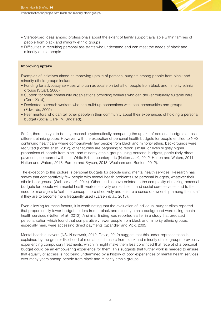- Stereotyped ideas among professionals about the extent of family support available within families of people from black and minority ethnic groups.
- Difficulties in recruiting personal assistants who understand and can meet the needs of black and minority ethnic people.

#### **Improving uptake**

Examples of initiatives aimed at improving uptake of personal budgets among people from black and minority ethnic groups include:

- Funding for advocacy services who can advocate on behalf of people from black and minority ethnic groups (Stuart, 2006)
- Support for small community organisations providing workers who can deliver culturally suitable care (Carr, 2014),
- Dedicated outreach workers who can build up connections with local communities and groups (Edwards, 2009)
- Peer mentors who can tell other people in their community about their experiences of holding a personal budget (Social Care TV, Undated).

So far, there has yet to be any research systematically comparing the uptake of personal budgets across different ethnic groups. However, with the exception of personal health budgets for people entitled to NHS continuing healthcare where comparatively few people from black and minority ethnic backgrounds were recruited (Forder et al., 2012), other studies are beginning to report similar, or even slightly higher proportions of people from black and minority ethnic groups using personal budgets, particularly direct payments, compared with their White British counterparts (Netten et al., 2012; Hatton and Waters, 2011; Hatton and Waters, 2013; Purdon and Bryson, 2013; Woolham and Benton, 2012).

The exception to this picture is personal budgets for people using mental health services. Research has shown that comparatively few people with mental health problems use personal budgets, whatever their ethnic background (Webber et al., 2014). Other studies have pointed to the complexity of making personal budgets for people with mental health work effectively across health and social care services and to the need for managers to 'sell' the concept more effectively and ensure a sense of ownership among their staff if they are to become more frequently used (Larsen et al., 2013).

Even allowing for these factors, it is worth noting that the evaluation of individual budget pilots reported that proportionally fewer budget holders from a black and minority ethnic background were using mental health services (Netten et al., 2012). A similar finding was reported earlier in a study that predated personalisation which found that comparatively fewer people from black and minority ethnic groups, especially men, were accessing direct payments (Spandler and Vick, 2005).

Mental health survivors (NSUN network, 2012; Davie, 2012) suggest that this under-representation is explained by the greater likelihood of mental health users from black and minority ethnic groups previously experiencing compulsory treatments, which in might make them less convinced that receipt of a personal budget could be an empowering experience for them. This suggests that further work is needed to ensure that equality of access is not being undermined by a history of poor experiences of mental health services over many years among people from black and minority ethnic groups.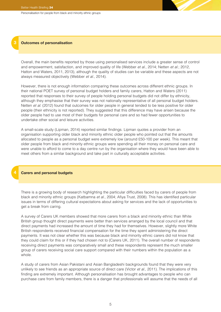#### **3 Outcomes of personalisation**

Overall, the main benefits reported by those using personalised services include a greater sense of control and empowerment, satisfaction, and improved quality of life (Webber et al., 2014; Netten et al.; 2012, Hatton and Waters, 2011, 2013), although the quality of studies can be variable and these aspects are not always measured objectively (Webber et al., 2014).

However, there is not enough information comparing these outcomes across different ethnic groups. In their national POET survey of personal budget holders and family carers, Hatton and Waters (2011) reported that responses to their survey of people holding personal budgets did not differ by ethnicity, although they emphasise that their survey was not nationally representative of all personal budget holders. Netten et al. (2012) found that outcomes for older people in general tended to be less positive for older people (their ethnicity is not reported). They suggested that this difference may have arisen because the older people had to use most of their budgets for personal care and so had fewer opportunities to undertake other social and leisure activities.

A small-scale study (Lipman, 2014) reported similar findings. Lipman quotes a provider from an organisation supporting older black and minority ethnic older people who pointed out that the amounts allocated to people as a personal budget were extremely low (around £50-100 per week). This meant that older people from black and minority ethnic groups were spending all their money on personal care and were unable to afford to come to a day centre run by the organisation where they would have been able to meet others from a similar background and take part in culturally acceptable activities.

#### **Carers and personal budgets**

**4**

There is a growing body of research highlighting the particular difficulties faced by carers of people from black and minority ethnic groups (Katbamna et al., 2004; Afiya Trust, 2008). This has identified particular issues in terms of differing cultural expectations about asking for services and the lack of opportunities to get a break from caring.

A survey of Carers UK members showed that more carers from a black and minority ethnic than White British group thought direct payments were better than services arranged by the local council and that direct payments had increased the amount of time they had for themselves. However, slightly more White British respondents received financial compensation for the time they spent administering the direct payments. It was not clear whether this was because black and minority ethnic carers did not know that they could claim for this or if they had chosen not to (Carers UK, 2011). The overall number of respondents receiving direct payments was comparatively small and these respondents represent the much smaller group of carers receiving social care support compared with their numbers within the population as a whole.

A study of carers from Asian Pakistani and Asian Bangladeshi backgrounds found that they were very unlikely to see friends as an appropriate source of direct care (Victor et al., 2011). The implications of this finding are extremely important. Although personalisation has brought advantages to people who can purchase care from family members, there is a danger that professionals will assume that the needs of all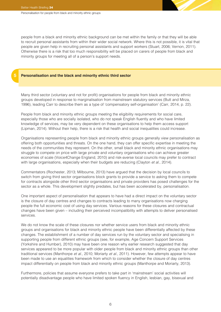people from a black and minority ethnic background can be met within the family or that they will be able to recruit personal assistants from within their wider social network. Where this is not possible, it is vital that people are given help in recruiting personal assistants and support workers (Stuart, 2006; Vernon, 2011). Otherwise there is a risk that too much responsibility will be placed on carers of people from black and minority groups for meeting all of a person's support needs.

#### **5 Personalisation and the black and minority ethnic third sector**

Many third sector (voluntary and not for profit) organisations for people from black and minority ethnic groups developed in response to marginalisation from mainstream statutory services (Butt and Mirza, 1996), leading Carr to describe them as a type of 'compensatory self-organisation' (Carr, 2014, p. 22).

People from black and minority ethnic groups meeting the eligibility requirements for social care, especially those who are socially isolated, who do not speak English fluently and who have limited knowledge of services, may be very dependent on these organisations to help them access support (Lipman, 2014). Without their help, there is a risk that health and social inequalities could increase.

Organisations representing people from black and minority ethnic groups generally view personalisation as offering both opportunities and threats. On the one hand, they can offer specific expertise in meeting the needs of the communities they represent. On the other, small black and minority ethnic organisations may struggle to compete on price with large private and voluntary organisations who can achieve greater economies of scale (Voice4Change England, 2010) and risk-averse local councils may prefer to contract with large organisations, especially when their budgets are reducing (Clayton et al., 2014).

Commentators (Rochester, 2013; Milbourne, 2013) have argued that the decision by local councils to switch from giving third sector organisations block grants to provide a service to asking them to compete for contracts alongside other third sector organisations and private providers has posed challenges for the sector as a whole. This development slightly predates, but has been accelerated by, personalisation.

One important aspect of personalisation that appears to have had a direct impact on the voluntary sector is the closure of day centres and changes to contracts leading to many organisations now charging people the full economic cost of using day services. Various reasons for these closures and contractual changes have been given – including their perceived incompatibility with attempts to deliver personalised services.

We do not know the scale of these closures nor whether service users from black and minority ethnic groups and organisations for black and minority ethnic people have been differentially affected by these changes. The establishment of a number of day services run by the voluntary sector and specialising in supporting people from different ethnic groups (see, for example, Age Concern Support Services (Yorkshire and Humber), 2010) may have been one reason why earlier research suggested that day services appeared to be more popular with older people from black and minority ethnic groups than other traditional services (Manthorpe et al., 2010; Moriarty et al., 2011). However, few attempts appear to have been made to use an equalities framework from which to consider whether the closure of day centres impact differentially on people from black and minority ethnic groups (Manthorpe and Moriarty, 2013).

Furthermore, policies that assume everyone prefers to take part in 'mainstream' social activities will potentially disadvantage people who have limited spoken fluency in English, lesbian, gay, bisexual and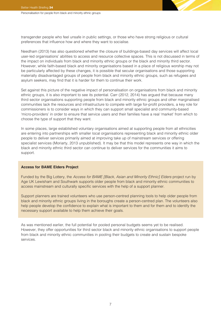transgender people who feel unsafe in public settings, or those who have strong religious or cultural preferences that influence how and where they want to socialise.

Needham (2013) has also questioned whether the closure of buildings-based day services will affect local user-led organisations' abilities to access and resource collective spaces. This is not discussed in terms of the impact on individuals from black and minority ethnic groups or the black and minority third sector. However, while faith-based black and minority organisations based in a place of religious worship may not be particularly affected by these changes, it is possible that secular organisations and those supporting materially disadvantaged groups of people from black and minority ethnic groups, such as refugees and asylum seekers, may find that it is harder for them to continue their work.

Set against this picture of the negative impact of personalisation on organisations from black and minority ethnic groups, it is also important to see its potential. Carr (2012, 2014) has argued that because many third sector organisations supporting people from black and minority ethnic groups and other marginalised communities lack the resources and infrastructure to compete with large for-profit providers, a key role for commissioners is to consider ways in which they can support small specialist and community-based 'micro-providers' in order to ensure that service users and their families have a real 'market' from which to choose the type of support that they want.

In some places, large established voluntary organisations aimed at supporting people from all ethnicities are entering into partnerships with smaller local organisations representing black and minority ethnic older people to deliver services primarily aimed at improving take up of mainstream services or offering specialist services (Moriarty, 2013 unpublished). It may be that this model represents one way in which the black and minority ethnic third sector can continue to deliver services for the communities it aims to support.

#### **Access for BAME Elders Project**

Funded by the Big Lottery, the Access for BAME [Black, Asian and Minority Ethnic] Elders project run by Age UK Lewisham and Southwark supports older people from black and minority ethnic communities to access mainstream and culturally specific services with the help of a support planner.

Support planners are trained volunteers who use person-centred planning tools to help older people from black and minority ethnic groups living in the boroughs create a person-centred plan. The volunteers also help people develop the confidence to explain what is important to them and for them and to identify the necessary support available to help them achieve their goals.

As was mentioned earlier, the full potential for pooled personal budgets seems yet to be realised. However, they offer opportunities for third sector black and minority ethnic organisations to support people from black and minority ethnic communities in pooling their budgets to create and sustain bespoke services.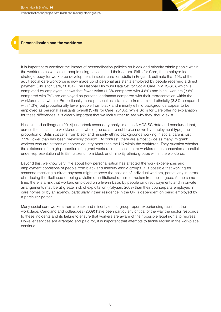#### **6 Personalisation and the workforce**

It is important to consider the impact of personalisation policies on black and minority ethnic people within the workforce as well as on people using services and their carers. Skills for Care, the employer-led strategic body for workforce development in social care for adults in England, estimate that 10% of the adult social care workforce is now made up of personal assistants employed by people receiving a direct payment (Skills for Care, 2013a). The National Minimum Data Set for Social Care (NMDS-SC), which is completed by employers, shows that fewer Asian (1.3% compared with 4.8%) and black workers (3.8% compared with 7%) are employed as personal assistants compared with their representation within the workforce as a whole). Proportionally more personal assistants are from a mixed ethnicity (3.8% compared with 1.3%) but proportionally fewer people from black and minority ethnic backgrounds appear to be employed as personal assistants overall (Skills for Care, 2013b). While Skills for Care offer no explanation for these differences, it is clearly important that we look further to see why they should exist.

Hussein and colleagues (2014) undertook secondary analysis of the NMDS-SC data and concluded that, across the social care workforce as a whole (the data are not broken down by employment type), the proportion of British citizens from black and minority ethnic backgrounds working in social care is just 7.5%, lower than has been previously thought. By contrast, there are almost twice as many 'migrant' workers who are citizens of another country other than the UK within the workforce. They question whether the existence of a high proportion of migrant workers in the social care workforce has concealed a parallel under-representation of British citizens from black and minority ethnic groups within the workforce.

Beyond this, we know very little about how personalisation has affected the work experiences and employment conditions of people from black and minority ethnic groups. It is possible that working for someone receiving a direct payment might improve the position of individual workers, particularly in terms of reducing the likelihood of being a victim of institutional racism or racism from colleagues. At the same time, there is a risk that workers employed on a live-in basis by people on direct payments and in private arrangements may be at greater risk of exploitation (Kalyaan, 2009) than their counterparts employed in care homes or by an agency, particularly if their residence in the UK is dependent on being employed by a particular person.

Many social care workers from a black and minority ethnic group report experiencing racism in the workplace. Cangiano and colleagues (2009) have been particularly critical of the way the sector responds to these incidents and its failure to ensure that workers are aware of their possible legal rights to redress. However services are arranged and paid for, it is important that attempts to tackle racism in the workplace continue.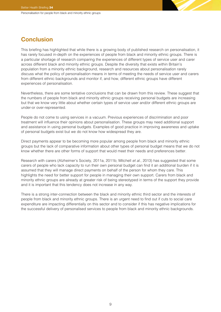# **Conclusion**

This briefing has highlighted that while there is a growing body of published research on personalisation, it has rarely focused in-depth on the experiences of people from black and minority ethnic groups. There is a particular shortage of research comparing the experiences of different types of service user and carer across different black and minority ethnic groups. Despite the diversity that exists within Britain's population from a minority ethnic background, research and resources about personalisation rarely discuss what the policy of personalisation means in terms of meeting the needs of service user and carers from different ethnic backgrounds and monitor if, and how, different ethnic groups have different experiences of personalisation.

Nevertheless, there are some tentative conclusions that can be drawn from this review. These suggest that the numbers of people from black and minority ethnic groups receiving personal budgets are increasing but that we know very little about whether certain types of service user and/or different ethnic groups are under-or over-represented.

People do not come to using services in a vacuum. Previous experiences of discrimination and poor treatment will influence their opinions about personalisation. These groups may need additional support and assistance in using personal budgets. Examples of good practice in improving awareness and uptake of personal budgets exist but we do not know how widespread they are.

Direct payments appear to be becoming more popular among people from black and minority ethnic groups but the lack of comparative information about other types of personal budget means that we do not know whether there are other forms of support that would meet their needs and preferences better.

Research with carers (Alzheimer's Society, 2011a, 2011b; Mitchell et al., 2013) has suggested that some carers of people who lack capacity to run their own personal budget can find it an additional burden if it is assumed that they will manage direct payments on behalf of the person for whom they care. This highlights the need for better support for people in managing their own support. Carers from black and minority ethnic groups are already at greater risk of being stereotyped in terms of the support they provide and it is important that this tendency does not increase in any way.

There is a strong inter-connection between the black and minority ethnic third sector and the interests of people from black and minority ethnic groups. There is an urgent need to find out if cuts to social care expenditure are impacting differentially on this sector and to consider if this has negative implications for the successful delivery of personalised services to people from black and minority ethnic backgrounds.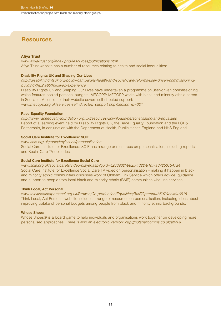# **Resources**

### **Afiya Trust**

[www.afiya-trust.org/index.php/resources/publications.html](http://www.afiya-trust.org/index.php/resources/publications.html) Afiya Trust website has a number of resources relating to health and social inequalities:

#### **Disability Rights UK and Shaping Our Lives**

[http://disabilityrightsuk.org/policy-campaigns/health-and-social-care-reforms/user-driven-commissioning](http://disabilityrightsuk.org/policy-campaigns/health-and-social-care-reforms/user-driven-commissioning-building-%E2%80%98lived-experience)[building-%E2%80%98lived-experience](http://disabilityrightsuk.org/policy-campaigns/health-and-social-care-reforms/user-driven-commissioning-building-%E2%80%98lived-experience)

Disability Rights UK and Shaping Our Lives have undertaken a programme on user-driven commissioning which features pooled personal budgets: MECOPP: MECOPP works with black and minority ethnic carers in Scotland. A section of their website covers self-directed support: [www.mecopp.org.uk/services-self\\_directed\\_support.php?section\\_id=321](http://www.mecopp.org.uk/services-self_directed_support.php?section_id=321)

#### **Race Equality Foundation**

<http://www.raceequalityfoundation.org.uk/resources/downloads/personalisation-and-equalities> Report of a learning event held by Disability Rights UK, the Race Equality Foundation and the LGB&T Partnership, in conjunction with the Department of Health, Public Health England and NHS England.

#### **Social Care Institute for Excellence: SCIE**

[www.scie.org.uk/topic/keyissues/personalisation](http://www.scie.org.uk/topic/keyissues/personalisation)

Social Care Institute for Excellence: SCIE has a range or resources on personalisation, including reports and Social Care TV episodes.

## **Social Care Institute for Excellence Social Care**

[www.scie.org.uk/socialcaretv/video-player.asp?guid=4286962f-9825-4322-81c7-a87253c347a4](http://www.scie.org.uk/socialcaretv/video-player.asp?guid=4286962f-9825-4322-81c7-a87253c347a4) Social Care Institute for Excellence Social Care TV video on personalisation – making it happen in black and minority ethnic communities discusses work of Oldham Link Service which offers advice, guidance and support to people from local black and minority ethnic (BME) communities who use services.

#### **Think Local, Act Personal**

[www.thinklocalactpersonal.org.uk/Browse/Co-production/Equalities/BME/?parent=8597&child=6515](http://www.thinklocalactpersonal.org.uk/Browse/Co-production/Equalities/BME/?parent=8597&child=6515) Think Local, Act Personal website includes a range of resources on personalisation, including ideas about improving uptake of personal budgets among people from black and minority ethnic backgrounds.

#### **Whose Shoes**

Whose Shoes® is a board game to help individuals and organisations work together on developing more personalised approaches. There is also an electronic version: <http://nutshellcomms.co.uk/about>/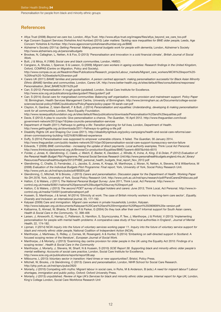## **References**

- Afiya Trust (2008) Beyond we care too, London, Afiya Trust. [http://www.afiya-trust.org/images/files/afiya\\_beyond\\_we\\_care\\_too.pdf](http://www.afiya-trust.org/images/files/afiya_beyond_we_care_too.pdf) • Age Concern Support Services (Yorkshire And Humber) (2010) Later matters: Tackling race inequalities for BME older people, Leeds, Age
- Concern Yorkshire & Humber. <http://www.ageconcernyorkshireandhumber.org.uk/BME> • Alzheimer's Society (2011a) Getting Personal: Making personal budgets work for people with dementia, London, Alzheimer's Society <http://www.alzheimers.org.uk/personalbudgets>
- Brookes, N, Callaghan, L, Netten, A & Fox, D (2013) 'Personalisation and innovation in a cold financial climate', British Journal of Social Work.
- Butt, J & Mirza, K (1996) Social care and black communities, London, HMSO.
- Cangiano, A, Shutes, I, Spencer, S & Leeson, G (2009) Migrant care workers in ageing societies: Research findings in the United Kingdom, Oxford, COMPAS (Centre on Migration, Policy and Society). [http://www.compas.ox.ac.uk/fileadmin/files/Publications/Research\\_projects/Labour\\_markets/Migrant\\_care\\_workers/MCW%20report%20-](http://www.compas.ox.ac.uk/fileadmin/files/Publications/Research_projects/Labour_markets/Migrant_care_workers/MCW%20report%20-%20final%20-%20website%20version.pdf) [%20final%20-%20website%20version.pdf](http://www.compas.ox.ac.uk/fileadmin/files/Publications/Research_projects/Labour_markets/Migrant_care_workers/MCW%20report%20-%20final%20-%20website%20version.pdf)
- Carers UK (2011) BAME families and personalisation. A person centred approach: making personalisation successful for Black Asian Minority Ethnic (BAME) families and communities, London, Carers UK. [http://www.better-health.org.uk/sites/default/files/consultations/responses/](http://www.better-health.org.uk/sites/default/files/consultations/responses/Personalisation_Brief_BAME%281%29.pdf) [Personalisation\\_Brief\\_BAME%281%29.pdf](http://www.better-health.org.uk/sites/default/files/consultations/responses/Personalisation_Brief_BAME%281%29.pdf)
- Carr, S (2012) Personalisation: A rough guide (updated), London, Social Care Institute for Excellence. <http://www.scie.org.uk/publications/guides/guide47/files/guide47.pdf>
- Carr, S (2014) Social care for marginalised communities: Balancing self organisation, micro-provision and mainstream support. Policy Paper 18, Birmingham, Health Services Management Centre, University of Birmingham. [http://www.birmingham.ac.uk/Documents/college-social](http://www.birmingham.ac.uk/Documents/college-social-sciences/social-policy/HSMC/publications/PolicyPapers/policy-paper-18-sarah-carr.pdf)[sciences/social-policy/HSMC/publications/PolicyPapers/policy-paper-18-sarah-carr.pdf](http://www.birmingham.ac.uk/Documents/college-social-sciences/social-policy/HSMC/publications/PolicyPapers/policy-paper-18-sarah-carr.pdf)
- Clayton, K, Gardner, Z, Islam-Barrett, F & Butt, J (2014) Personalisation and equalities: Understanding, developing & making personalisation work for all communities, London, Race Equality Foundation.
- <http://www.raceequalityfoundation.org.uk/sites/default/files/publications/downloads/Personalisation%20and%20equalities.pdf> • Davie, E (2012) A plea to councils: Give personalisation a chance. The Guardian, 16 April 2012. [http://www.theguardian.com/local](http://www.theguardian.com/local-government-network/2012/apr/16/plea-councils-personalisation-services)[government-network/2012/apr/16/plea-councils-personalisation-services](http://www.theguardian.com/local-government-network/2012/apr/16/plea-councils-personalisation-services)
- Department of Health (2011) Pathways to getting a life: Transition planning for full lives, London, Department of Health. <http://www.gettingalife.org.uk/downloads/2011-Pathways-to-getting-a-life.pdf>
- Disability Rights UK and Shaping Our Lives (2011). [http://disabilityrightsuk.org/policy-campaigns/health-and-social-care-reforms/user](http://disabilityrightsuk.org/policy-campaigns/health-and-social-care-reforms/user-driven-commissioning-building-%E2%80%98lived-experience)[driven-commissioning-building-%E2%80%98lived-experience](http://disabilityrightsuk.org/policy-campaigns/health-and-social-care-reforms/user-driven-commissioning-building-%E2%80%98lived-experience)
- Duffy, S (2014) Personalisation was supposed to empower vulnerable citizens. It failed. The Guardian, 30 January 2014.
- <http://www.theguardian.com/public-leaders-network/2014/jan/30/personalisation-social-care-support-bureaucracy-service-failure> • Edwards, T (2009) BME communities - increasing the uptake of direct payments. Local authority examples, Think Local Act Personal.
- <http://www.thinklocalactpersonal.org.uk/Browse/Co-production/Equalities/BME/?parent=8597&child=6515> • Forder, J, Jones, K, Glendinning, C, Caiels, J, Welch, E, Baxter, K, Davidson, J, Windle, K, Irvine, A, King, D & Dolan, P (2012) Evaluation of the Personal Health Budget Pilot Programme, Personal Social Services Research Unit[.http://www.personalhealthbudgets.england.nhs.uk/\\_library/](http://www.personalhealthbudgets.england.nhs.uk/_library/Resources/Personalhealthbudgets/2012/PHBE_personal_health_budgets_final_report_Nov_2012.pdf) [Resources/Personalhealthbudgets/2012/PHBE\\_personal\\_health\\_budgets\\_final\\_report\\_Nov\\_2012.pdf](http://www.personalhealthbudgets.england.nhs.uk/_library/Resources/Personalhealthbudgets/2012/PHBE_personal_health_budgets_final_report_Nov_2012.pdf)
- Glendinning, C, Challis, D, Fernández, J L, Jacobs, S, Jones, K, Knapp, M, Manthorpe, J, Moran, N, Netten, A, Stevens, M & Wilberforce, M (2008) Evaluation of the Individual Budgets Pilot Programme: Final report, York, University of York, Social Policy Research Unit. <http://www.york.ac.uk/inst/spru/pubs/pdf/IBSEN.pdf>
- Glendinning, C, Mitchell, W & Brooks, J (2013) Carers and personalisation. Discussion paper for the Department of Health. Working Paper No DH 2576, York, University of York, Social Policy Research Unit. http://www.york.ac.uk/inst/spru/research/pdf/PandCarersDHdiscuss.pdf
- Hatton, C & Waters, J (2011) The National Personal Budget Survey: June 2011, Think Local, Act Personal. [http://www.in](http://www.in-control.org.uk/media/92851/national%20personal%20budget%20survey%20report.pdf)[control.org.uk/media/92851/national%20personal%20budget%20survey%20report.pdf](http://www.in-control.org.uk/media/92851/national%20personal%20budget%20survey%20report.pdf)
- Hatton, C & Waters, J (2013) The second POET survey of budget holders and carers: June 2013, Think Local, Act Personal. [http://www.in](http://www.in-control.org.uk/media/154591/poetnationalreport.pdf)[control.org.uk/media/154591/poetnationalreport.pdf](http://www.in-control.org.uk/media/154591/poetnationalreport.pdf)
- Hussein, S, Manthorpe, J & Ismail, M (2014) 'Ethnicity at work: The case of British minority workers in the long-term care sector', Equality, Diversity and Inclusion: an international journal, 33, 177-192.
- Kalyaan (2009) Care and immigration: Migrant care workers in private households, London, Kalyaan. <http://www.kalayaan.org.uk/documents/Kalayaan%20Care%20and%20Immigration%20Report%20280909%20e-version.pdf>
- Katbamna, S, Ahmad, W, Bhakta, P, Baker, R & Parker, G (2004) Do they look after their own? Informal support for South Asian carers, Health & Social Care in the Community, 12, 398-406
- Larsen, J, Ainsworth, E, Harrop, C, Patterson, S, Hamilton, S, Szymczynska, P, Tew, J, Manthorpe, J & Pinfold, V (2013) 'Implementing personalisation for people with mental health problems: A comparative case study of four local authorities in England', Journal of Mental Health, 22, 174-182.
- Lipman, V (2014) NCIA inquiry into the future of voluntary services working paper 11. Inquiry into the future of voluntary service support for black and minority ethnic older people, National Coalition of Independent Action (NCIA).
- Manthorpe, J, Martineau, S, Ridley, J, Cornes, M, Rosengard, A & Hunter, S (2014) 'Embarking on self-directed support in Scotland: A focused scoping review of the literature', European Journal of Social Work.
- Manthorpe, J & Moriarty, J (2013) 'Examining day centre provision for older people in the UK using the Equality Act 2010: Findings of a scoping review', Health & Social Care in the Community
- Manthorpe, J, Moriarty, J, Stevens, M, Sharif, N & Hussein, S (2010) SCIE Report 38. Supporting black and minority ethnic older people's mental wellbeing: Accounts of social care practice, London, Social Care Institute for Excellence. <http://www.scie.org.uk/publications/reports/report38.asp>
- Milbourne, L (2013) Voluntary sector in transition: Hard times or new opportunities?, Bristol, Policy Press.
- Mitchell, W, Brooks, J & Glendinning, C (2013) Carers and personalisation, London, NIHR School for Social Care Research.
- <http://php.york.ac.uk/inst/spru/pubs/2620>
- Moriarty, J (2010) Competing with myths: Migrant labour in social care, in Ruhs, M & Anderson, B (eds.) A need for migrant labour? Labour shortages, immigration and public policy, Oxford: Oxford University Press.
- Moriarty, J (2013) unpublished. Review of Age UK's Services for black and minority ethnic older people. Internal report for Age UK, London, King's College London, Social Care Workforce Research Unit